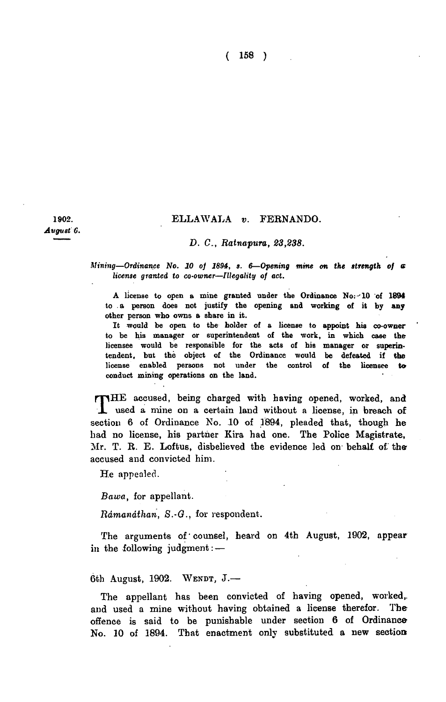( 158 )

1902. *August C.* 

## ELLAWALA v. FERNANDO.

## *D. C, Ratnapura, 23,238.*

*Mining—Ordinance No. 10 of 1894, s. 6*—*Opening mine on the strength of a license granted to co-owner—Illegality of act.* 

A license to open a mine granted under the Ordinance No.-'10 of 1894 to a person does not justify the opening and working of it by any other person who owns a share in it.

It would be open to the holder of a license to appoint his co-owner to be his manager or superintendent of the work, in which case the licensee would be responsible for the acts of his manager or superintendent, but the object of the Ordinance would be defeated if the license enabled persons not under the control of the licensee to conduct mining operations on the land.

THE accused, being charged with having opened, worked, and used a mine on a certain land without a license, in breach of used a mine on a certain land without a license, in breach of section 6 of Ordinance No. 10 of 1894, pleaded that, though he had no license, his partner Kira had one. The Police Magistrate, Mr. T. R. E. Loftus, disbelieved the evidence led on behalf of theaccused and convicted him.

He appealed.

*Bawa,* for appellant.

*Rdmandthan, S.-G.,* for respondent.

The arguments of'counsel, heard on 4th August, 1902, appear in the following judgment: —

6th August, 1902. WENDT,  $J$ .

The appellant has been convicted of having opened, worked,, and used a mine without having obtained a license therefor. The offence is said to be punishable under section 6 of Ordinance-No. 10 of 1894. That enactment only substituted a new section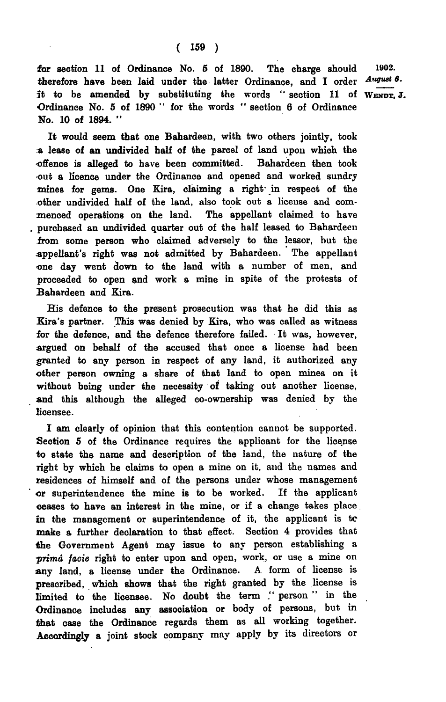for section 11 of Ordinance No.  $5$  of 1890. The charge should 1902. therefore have been laid under the latter Ordinance, and I order August 6. *it* to be amended by substituting the words " section 11 of WENDT, J. Ordinance No. 5 of 1890 " for the words " section 6 of Ordinance No. 10 of 1894. "

It would seem that one Bahardeen, with two others jointly, took a lease of an undivided half of the parcel of land upon which the offence is alleged to have been committed. Bahardeen then took out a licence under the Ordinance and opened and worked sundry mines for gems. One Kira, claiming a right- in respect of the other undivided half of the land, also took out a license and commenced operations on the land. The appellant claimed to have purchased an undivided quarter out of the half leased to Bahardeen from some person who claimed adversely to the lessor, but the appellant's right was not admitted by Bahardeen. The appellant one day went down to the land with a number of men, and proceeded to open and work a mine in spite of the protests of Bahardeen and Kira.

His defence to the present prosecution was that he did this as Kira's partner. This was denied by Kira, who was called as witness for the defence, and the defence therefore failed. It was, however, argued on behalf of the accused that once a license had been granted to any person in respect of any land, it authorized any other person owning a share of that land to open mines on it without being under the necessity of taking out another license, and this although the alleged co-ownership was denied by the licensee.

I am clearly of opinion that this contention cannot be supported. Section 5 of the Ordinance requires the applicant for the license to state the name and description of the land, the nature of the right by which he claims to open a mine on it, and the names and residences of himself and of the persons under whose management or superintendence the mine is to be worked. If the applicant ceases to have an interest in the mine, or if a change takes place in the management or superintendence of it, the applicant is to make a further declaration to that effect. Section 4 provides that the Government Agent may issue to any person establishing a *•prima facie* right to enter upon and open, work, or use a mine on any land, a license under the Ordinance. A. form of license is prescribed, which shows that the right granted by the license is limited to the licensee. No doubt the term ." person " in the Ordinance includes any association or body of persons, but in that case the Ordinance regards them as all working together. Accordingly a joint stock company may apply by its directors or